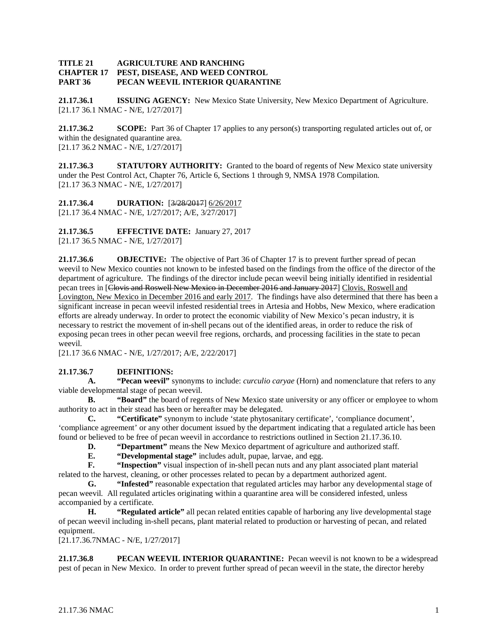## **TITLE 21 AGRICULTURE AND RANCHING<br><b>CHAPTER 17 PEST, DISEASE, AND WEED CON PEST, DISEASE, AND WEED CONTROL PART 36 PECAN WEEVIL INTERIOR QUARANTINE**

**21.17.36.1 ISSUING AGENCY:** New Mexico State University, New Mexico Department of Agriculture. [21.17 36.1 NMAC - N/E, 1/27/2017]

**21.17.36.2 SCOPE:** Part 36 of Chapter 17 applies to any person(s) transporting regulated articles out of, or within the designated quarantine area. [21.17 36.2 NMAC - N/E, 1/27/2017]

**21.17.36.3 STATUTORY AUTHORITY:** Granted to the board of regents of New Mexico state university under the Pest Control Act, Chapter 76, Article 6, Sections 1 through 9, NMSA 1978 Compilation. [21.17 36.3 NMAC - N/E, 1/27/2017]

**21.17.36.4 DURATION:** [3/28/2017] 6/26/2017 [21.17 36.4 NMAC - N/E, 1/27/2017; A/E, 3/27/2017]

**21.17.36.5 EFFECTIVE DATE:** January 27, 2017 [21.17 36.5 NMAC - N/E, 1/27/2017]

**21.17.36.6 OBJECTIVE:** The objective of Part 36 of Chapter 17 is to prevent further spread of pecan weevil to New Mexico counties not known to be infested based on the findings from the office of the director of the department of agriculture. The findings of the director include pecan weevil being initially identified in residential pecan trees in [Clovis and Roswell New Mexico in December 2016 and January 2017] Clovis, Roswell and Lovington, New Mexico in December 2016 and early 2017. The findings have also determined that there has been a significant increase in pecan weevil infested residential trees in Artesia and Hobbs, New Mexico, where eradication efforts are already underway. In order to protect the economic viability of New Mexico's pecan industry, it is necessary to restrict the movement of in-shell pecans out of the identified areas, in order to reduce the risk of exposing pecan trees in other pecan weevil free regions, orchards, and processing facilities in the state to pecan weevil.

[21.17 36.6 NMAC - N/E, 1/27/2017; A/E, 2/22/2017]

## **21.17.36.7 DEFINITIONS:**

**A. "Pecan weevil"** synonyms to include: *curculio caryae* (Horn) and nomenclature that refers to any viable developmental stage of pecan weevil.

**B. "Board"** the board of regents of New Mexico state university or any officer or employee to whom authority to act in their stead has been or hereafter may be delegated.

**C. "Certificate"** synonym to include 'state phytosanitary certificate', 'compliance document', 'compliance agreement' or any other document issued by the department indicating that a regulated article has been found or believed to be free of pecan weevil in accordance to restrictions outlined in Section 21.17.36.10.

**D. "Department"** means the New Mexico department of agriculture and authorized staff.

**E. "Developmental stage"** includes adult, pupae, larvae, and egg.<br>**F. "Inspection"** visual inspection of in-shell pecan nuts and any p

"Inspection" visual inspection of in-shell pecan nuts and any plant associated plant material related to the harvest, cleaning, or other processes related to pecan by a department authorized agent.

**G. "Infested"** reasonable expectation that regulated articles may harbor any developmental stage of pecan weevil. All regulated articles originating within a quarantine area will be considered infested, unless accompanied by a certificate.

**H. "Regulated article"** all pecan related entities capable of harboring any live developmental stage of pecan weevil including in-shell pecans, plant material related to production or harvesting of pecan, and related equipment.

[21.17.36.7NMAC - N/E, 1/27/2017]

**21.17.36.8 PECAN WEEVIL INTERIOR QUARANTINE:** Pecan weevil is not known to be a widespread pest of pecan in New Mexico. In order to prevent further spread of pecan weevil in the state, the director hereby